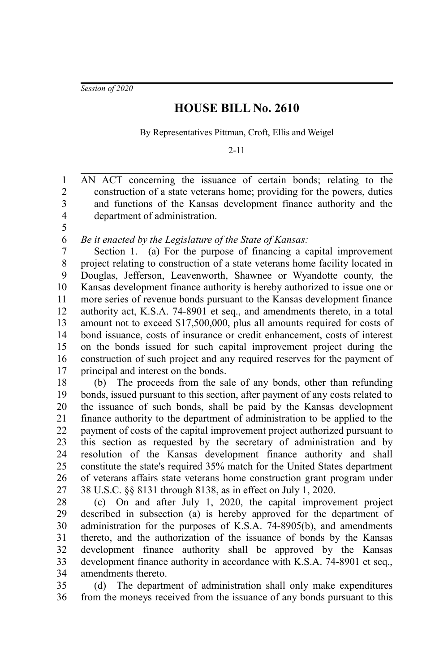*Session of 2020*

5

## **HOUSE BILL No. 2610**

By Representatives Pittman, Croft, Ellis and Weigel

2-11

AN ACT concerning the issuance of certain bonds; relating to the construction of a state veterans home; providing for the powers, duties and functions of the Kansas development finance authority and the department of administration. 1 2 3 4

*Be it enacted by the Legislature of the State of Kansas:* 6

Section 1. (a) For the purpose of financing a capital improvement project relating to construction of a state veterans home facility located in Douglas, Jefferson, Leavenworth, Shawnee or Wyandotte county, the Kansas development finance authority is hereby authorized to issue one or more series of revenue bonds pursuant to the Kansas development finance authority act, K.S.A. 74-8901 et seq., and amendments thereto, in a total amount not to exceed \$17,500,000, plus all amounts required for costs of bond issuance, costs of insurance or credit enhancement, costs of interest on the bonds issued for such capital improvement project during the construction of such project and any required reserves for the payment of principal and interest on the bonds. 7 8 9 10 11 12 13 14 15 16 17

(b) The proceeds from the sale of any bonds, other than refunding bonds, issued pursuant to this section, after payment of any costs related to the issuance of such bonds, shall be paid by the Kansas development finance authority to the department of administration to be applied to the payment of costs of the capital improvement project authorized pursuant to this section as requested by the secretary of administration and by resolution of the Kansas development finance authority and shall constitute the state's required 35% match for the United States department of veterans affairs state veterans home construction grant program under 38 U.S.C. §§ 8131 through 8138, as in effect on July 1, 2020. 18 19 20 21 22 23 24 25 26 27

(c) On and after July 1, 2020, the capital improvement project described in subsection (a) is hereby approved for the department of administration for the purposes of K.S.A. 74-8905(b), and amendments thereto, and the authorization of the issuance of bonds by the Kansas development finance authority shall be approved by the Kansas development finance authority in accordance with K.S.A. 74-8901 et seq., amendments thereto. 28 29 30 31 32 33 34

(d) The department of administration shall only make expenditures from the moneys received from the issuance of any bonds pursuant to this 35 36